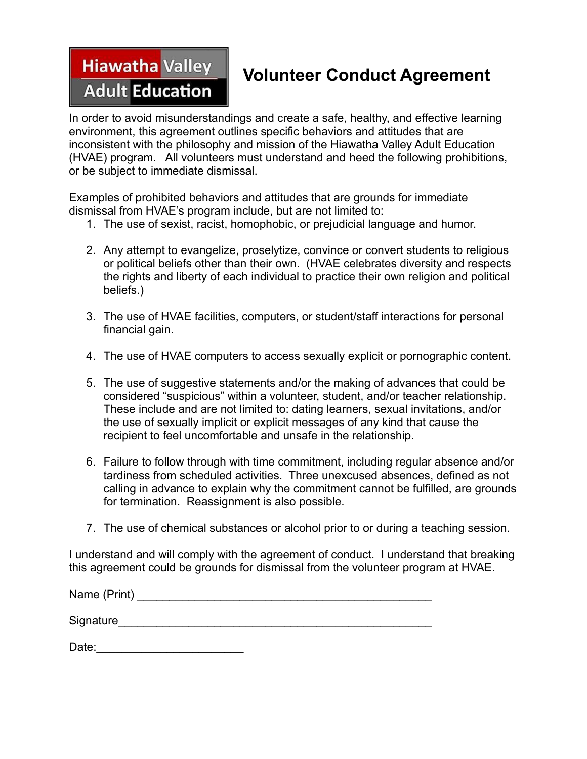## **Hiawatha Valley Adult Education**

## **Volunteer Conduct Agreement**

In order to avoid misunderstandings and create a safe, healthy, and effective learning environment, this agreement outlines specific behaviors and attitudes that are inconsistent with the philosophy and mission of the Hiawatha Valley Adult Education (HVAE) program. All volunteers must understand and heed the following prohibitions, or be subject to immediate dismissal.

Examples of prohibited behaviors and attitudes that are grounds for immediate dismissal from HVAE's program include, but are not limited to:

- 1. The use of sexist, racist, homophobic, or prejudicial language and humor.
- 2. Any attempt to evangelize, proselytize, convince or convert students to religious or political beliefs other than their own. (HVAE celebrates diversity and respects the rights and liberty of each individual to practice their own religion and political beliefs.)
- 3. The use of HVAE facilities, computers, or student/staff interactions for personal financial gain.
- 4. The use of HVAE computers to access sexually explicit or pornographic content.
- 5. The use of suggestive statements and/or the making of advances that could be considered "suspicious" within a volunteer, student, and/or teacher relationship. These include and are not limited to: dating learners, sexual invitations, and/or the use of sexually implicit or explicit messages of any kind that cause the recipient to feel uncomfortable and unsafe in the relationship.
- 6. Failure to follow through with time commitment, including regular absence and/or tardiness from scheduled activities. Three unexcused absences, defined as not calling in advance to explain why the commitment cannot be fulfilled, are grounds for termination. Reassignment is also possible.
- 7. The use of chemical substances or alcohol prior to or during a teaching session.

I understand and will comply with the agreement of conduct. I understand that breaking this agreement could be grounds for dismissal from the volunteer program at HVAE.

| Name (Print) |  |  |  |
|--------------|--|--|--|
| Signature    |  |  |  |

Date:\_\_\_\_\_\_\_\_\_\_\_\_\_\_\_\_\_\_\_\_\_\_\_